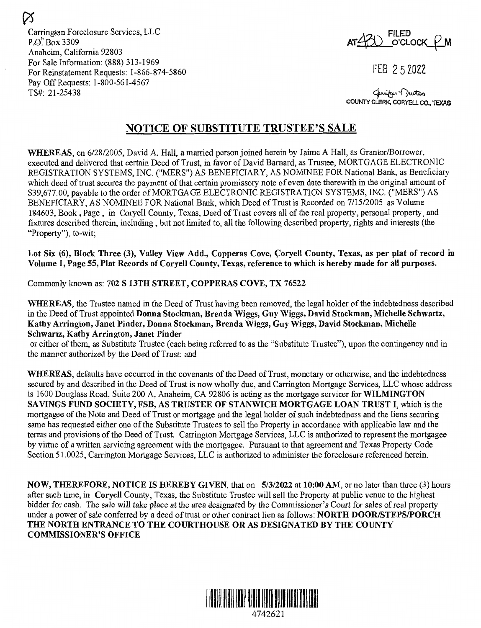Ø Carrington Foreclosure Services, LLC  $P \cdot Q^*$  Box 3309 Anaheim, California 92803 For Sale Information: (888) 313-1969 For Reinstatement Requests: 1-866-874-5860 Pay Off Requests: 1-800-561-4567 TS#: 21-25438

~ **FILED AT\_~,\_\_O'CLOCK--\2-M** 

FEB 2 5 2022

لمناس ( C<sub>errit</sub>on Tywton<br>COUNTY CLERK, CORYELL CO.**, TEXAS** 

## **NOTICE OF SUBSTITUTE TRUSTEE'S SALE**

**WHEREAS,** on 6/28/2005, David A. Hall, a married person joined herein by Jaime A Hall, as Grantor/Borrower, executed and delivered that certain Deed of Trust, in favor of David Barnard, as Trustee, MORTGAGE ELECTRONIC REGISTRATION SYSTEMS, INC. ("MERS") AS BENEFICIARY, AS NOMINEE FOR National Bank, as Beneficiary which deed of trust secures the payment of that certain promissory note of even date therewith in the original amount of \$39,677.00, payable to the order of MORTGAGE ELECTRONIC REGISTRATION SYSTEMS, INC. ("MERS") AS BENEFICIARY, AS NOMINEE FOR National Bank, which Deed of Trust is Recorded on 7/15/2005 as Volume 184603, Book, Page , in Coryell County, Texas, Deed of Trust covers all of the real property, personal property, and fixtures described therein, including, but not limited to, all the following described property, rights and interests (the "Property"), to-wit;

Lot Six (6), Block Three (3), Valley View Add., Copperas Cove, Coryell County, Texas, as per plat of record in **Volume 1, Page 55, Plat Records of Coryell County, Texas, reference to which is hereby made for all purposes.** 

Commonly known as: **702 S 13TH STREET, COPPERAS COVE, TX 76522** 

**WHEREAS,** the Trustee named in the Deed of Trust having been removed, the legal holder of the indebtedness described in the Deed of Trust appointed **Donna Stockman, Brenda Wiggs, Guy Wiggs, David Stockman, Michelle Schwartz, Kathy Arrington, Janet Pinder, Donna Stockman, Brenda Wiggs, Guy Wiggs, David Stockman, Michelle Schwartz, Kathy Arrington, Janet Pinder** 

or either of them, as Substitute Trustee ( each being referred to as the "Substitute Trustee"), upon the contingency and in the manner authorized by the Deed of Trust: and

**WHEREAS,** defaults have occurred in the covenants of the Deed of Trust, monetary or otherwise, and the indebtedness secured by and described in the Deed of Trust is now wholly due, and Carrington Mortgage Services, LLC whose address is 1600 Douglass Road, Suite 200 A, Anaheim, CA 92806 is acting as the mortgage servicer for **WILMINGTON SAVINGS FUND SOCIETY, FSB, AS TRUSTEE OF STANWICH MORTGAGE LOAN TRUST** I, which is the mortgagee of the Note and Deed of Trust or mortgage and the legal holder of such indebtedness and the liens securing same has requested either one of the Substitute Trustees to sell the Property in accordance with applicable law and the terms and provisions of the Deed of Trust. Carrington Mortgage Services, LLC is authorized to represent the mortgagee by virtue of a written servicing agreement with the mortgagee. Pursuant to that agreement and Texas Property Code Section 51.0025, Carrington Mortgage Services, LLC is authorized to administer the foreclosure referenced herein.

**NOW, THEREFORE, NOTICE IS HEREBY GIVEN,** that on **5/3/2022** at **10:00 AM,** or no later than three (3) hours after such time, in **Coryell** County, Texas, the Substitute Trustee will sell the Property at public venue to the highest bidder for cash. The sale will take place *at* the area designated by the Commissioner's Court for sales of real property under a power of sale conferred by a deed of trust or other contract lien as follows: **NORTH DOOR/STEPS/PORCH THE NORTH ENTRANCE TO THE COURTHOUSE OR AS DESIGNATED BY THE COUNTY COMMISSIONER'S OFFICE**